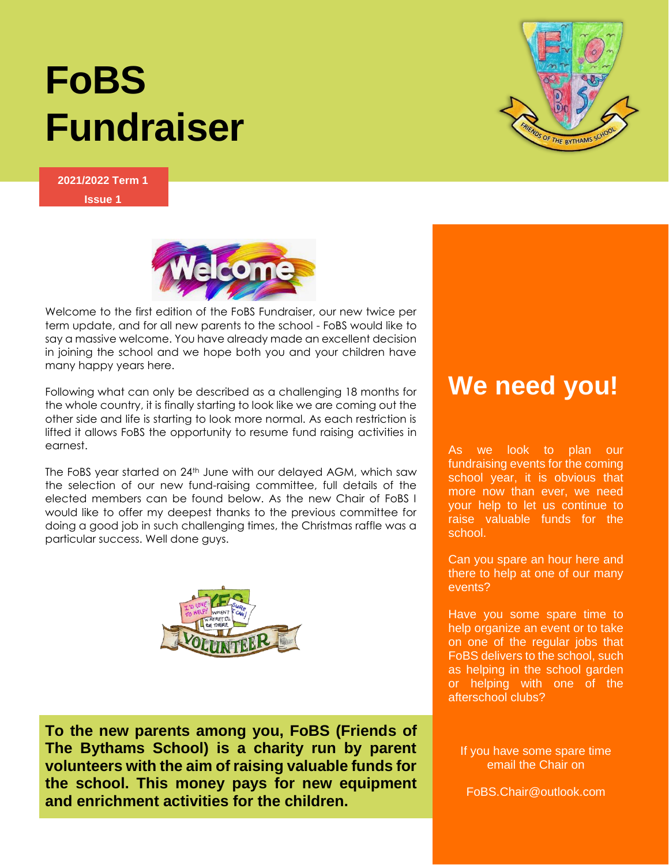# **FoBS Fundraiser**

#### **2021/2022 Term 1 Issue 1**



Welcome to the first edition of the FoBS Fundraiser, our new twice per term update, and for all new parents to the school - FoBS would like to say a massive welcome. You have already made an excellent decision in joining the school and we hope both you and your children have many happy years here.

Following what can only be described as a challenging 18 months for the whole country, it is finally starting to look like we are coming out the other side and life is starting to look more normal. As each restriction is lifted it allows FoBS the opportunity to resume fund raising activities in earnest.

The FoBS year started on 24<sup>th</sup> June with our delayed AGM, which saw the selection of our new fund-raising committee, full details of the elected members can be found below. As the new Chair of FoBS I would like to offer my deepest thanks to the previous committee for doing a good job in such challenging times, the Christmas raffle was a particular success. Well done guys.



**To the new parents among you, FoBS (Friends of The Bythams School) is a charity run by parent volunteers with the aim of raising valuable funds for the school. This money pays for new equipment and enrichment activities for the children.** 



As we look to plan our fundraising events for the coming school year, it is obvious that more now than ever, we need your help to let us continue to raise valuable funds for the school.

Can you spare an hour here and there to help at one of our many events?

Have you some spare time to help organize an event or to take on one of the regular jobs that FoBS delivers to the school, such as helping in the school garden or helping with one of the afterschool clubs?

If you have some spare time email the Chair on

FoBS.Chair@outlook.com

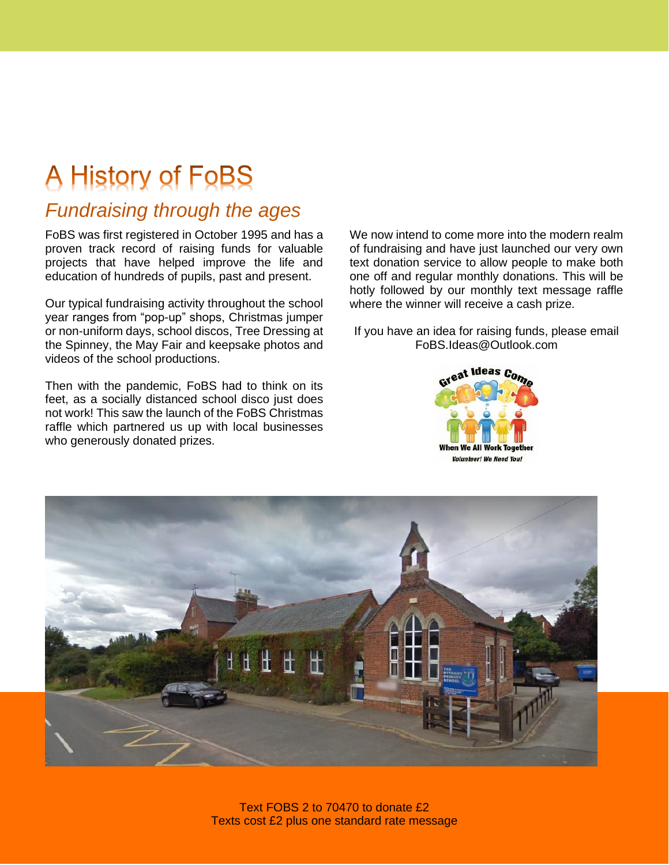### A History of FoBS

### *Fundraising through the ages*

FoBS was first registered in October 1995 and has a proven track record of raising funds for valuable projects that have helped improve the life and education of hundreds of pupils, past and present.

Our typical fundraising activity throughout the school year ranges from "pop-up" shops, Christmas jumper or non-uniform days, school discos, Tree Dressing at the Spinney, the May Fair and keepsake photos and videos of the school productions.

Then with the pandemic, FoBS had to think on its feet, as a socially distanced school disco just does not work! This saw the launch of the FoBS Christmas raffle which partnered us up with local businesses who generously donated prizes.

We now intend to come more into the modern realm of fundraising and have just launched our very own text donation service to allow people to make both one off and regular monthly donations. This will be hotly followed by our monthly text message raffle where the winner will receive a cash prize.

If you have an idea for raising funds, please email FoBS.Ideas@Outlook.com





Text FOBS 2 to 70470 to donate £2 Texts cost £2 plus one standard rate message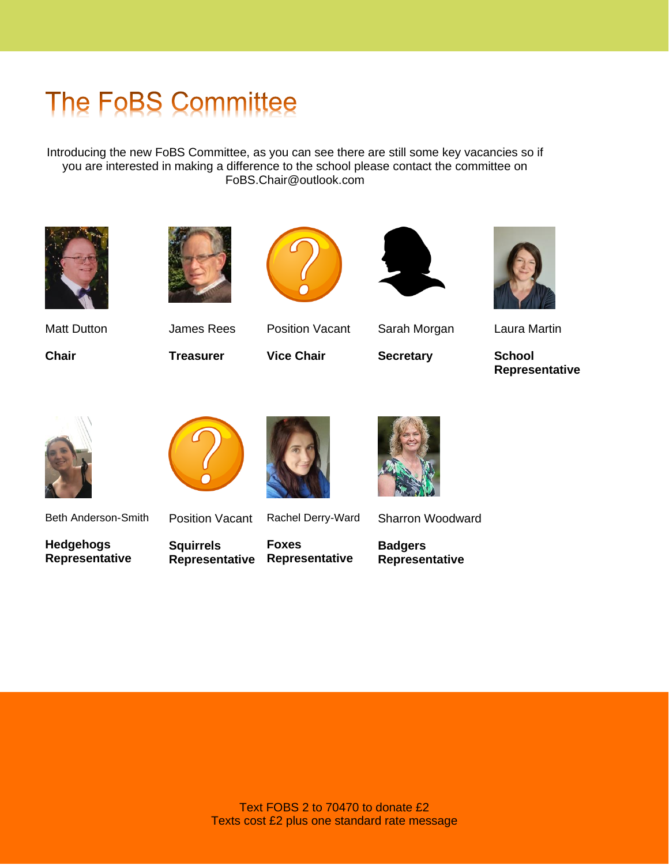## **The FoBS Committee**

Introducing the new FoBS Committee, as you can see there are still some key vacancies so if you are interested in making a difference to the school please contact the committee on FoBS.Chair@outlook.com



Matt Dutton

**Chair**



James Rees

**Treasurer**



Position Vacant

**Vice Chair**



Sarah Morgan

**Secretary**



Laura Martin

**School Representative**



Beth Anderson-Smith

Position Vacant



Sharron Woodward

**Badgers Representative**

**Hedgehogs** 

**Representative**

**Squirrels** 

**Representative Foxes Representative**

Rachel Derry-Ward



Text FOBS 2 to 70470 to donate £2 Texts cost £2 plus one standard rate message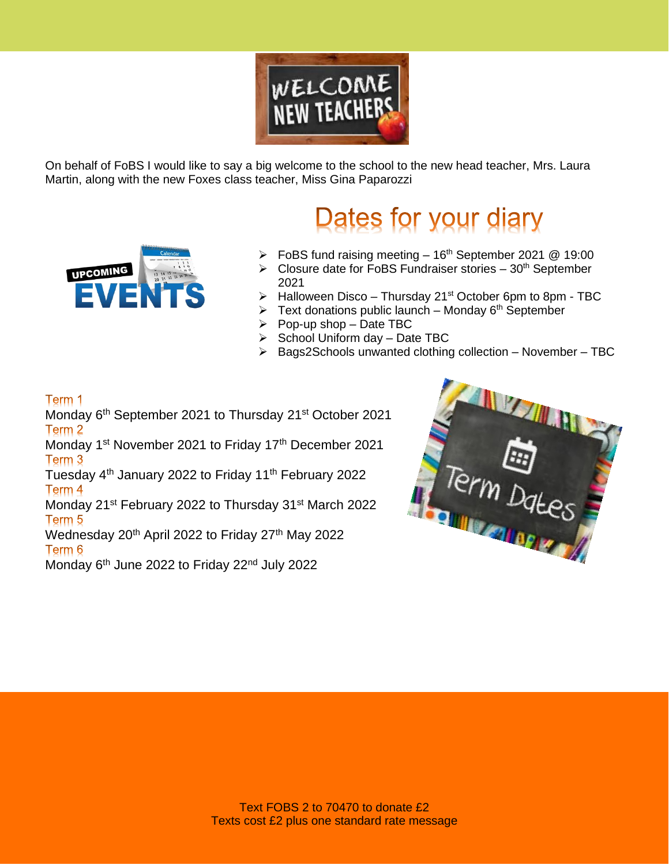

On behalf of FoBS I would like to say a big welcome to the school to the new head teacher, Mrs. Laura Martin, along with the new Foxes class teacher, Miss Gina Paparozzi



### Dates for your diary

- $\triangleright$  FoBS fund raising meeting 16<sup>th</sup> September 2021 @ 19:00
- $\triangleright$  Closure date for FoBS Fundraiser stories 30<sup>th</sup> September 2021
- $\triangleright$  Halloween Disco Thursday 21<sup>st</sup> October 6pm to 8pm TBC
- $\triangleright$  Text donations public launch Monday 6<sup>th</sup> September
- $\triangleright$  Pop-up shop Date TBC
- $\triangleright$  School Uniform day Date TBC
- $\triangleright$  Bags2Schools unwanted clothing collection November TBC

### Term 1

Monday 6<sup>th</sup> September 2021 to Thursday 21<sup>st</sup> October 2021 Term 2

Monday 1<sup>st</sup> November 2021 to Friday 17<sup>th</sup> December 2021 Term 3

Tuesday 4<sup>th</sup> January 2022 to Friday 11<sup>th</sup> February 2022 Term 4

Monday 21<sup>st</sup> February 2022 to Thursday 31<sup>st</sup> March 2022 Term 5

Wednesday 20<sup>th</sup> April 2022 to Friday 27<sup>th</sup> May 2022

#### Term 6

Monday 6<sup>th</sup> June 2022 to Friday 22<sup>nd</sup> July 2022

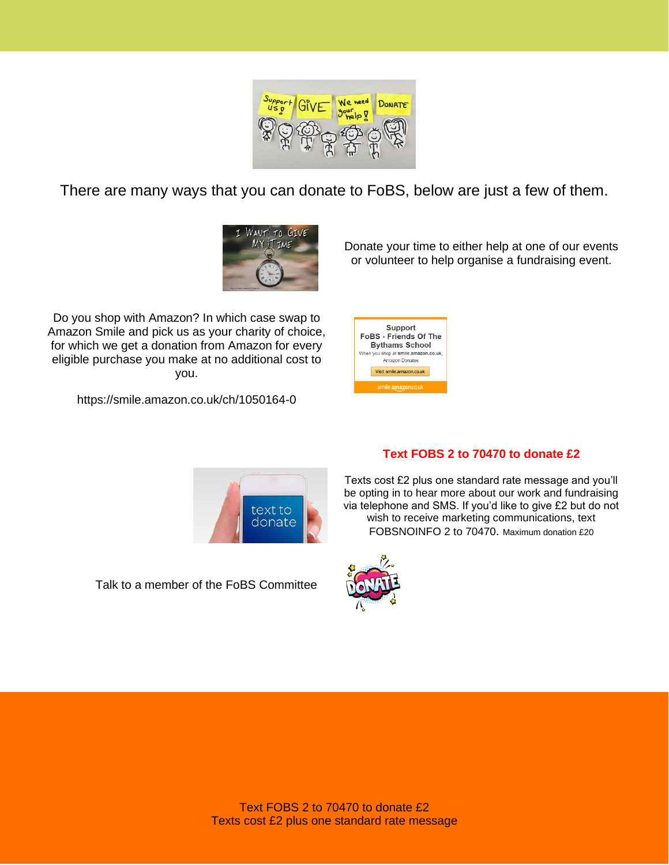

There are many ways that you can donate to FoBS, below are just a few of them.



Do you shop with Amazon? In which case swap to Amazon Smile and pick us as your charity of choice, for which we get a donation from Amazon for every eligible purchase you make at no additional cost to you.

https://smile.amazon.co.uk/ch/1050164-0

| <b>Support</b><br><b>FoBS - Friends Of The</b><br><b>Bythams School</b><br>When you shop at smile.amazon.co.uk,<br>Amazon Donates |                          |
|-----------------------------------------------------------------------------------------------------------------------------------|--------------------------|
|                                                                                                                                   | Visit smile.amazon.co.uk |
| smile amazon couk                                                                                                                 |                          |

#### **Text FOBS 2 to 70470 to donate £2**

Donate your time to either help at one of our events or volunteer to help organise a fundraising event.



Talk to a member of the FoBS Committee

Texts cost £2 plus one standard rate message and you'll be opting in to hear more about our work and fundraising via telephone and SMS. If you'd like to give £2 but do not wish to receive marketing communications, text FOBSNOINFO 2 to 70470. Maximum donation £20